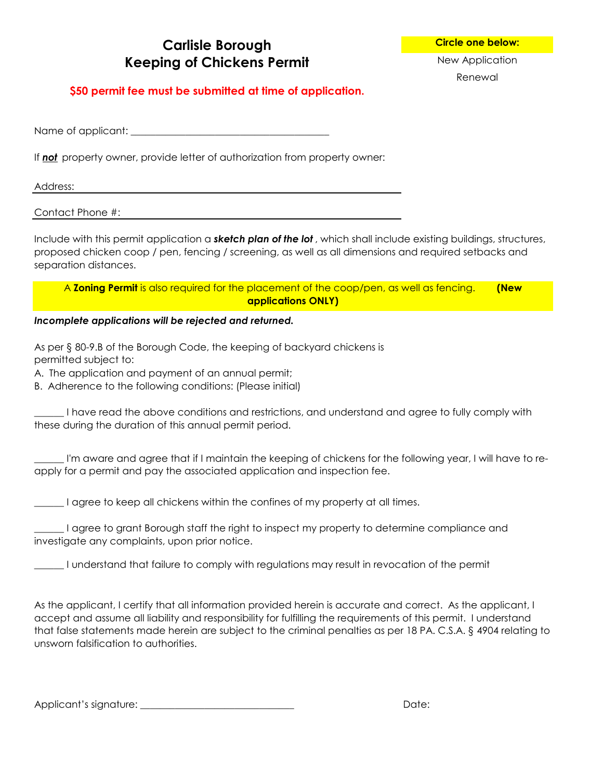## **Carlisle Borough Circle one below: Keeping of Chickens Permit** New Application

Renewal

### **\$50 permit fee must be submitted at time of application.**

Name of applicant: \_\_\_\_\_\_\_\_\_\_\_\_\_\_\_\_\_\_\_\_\_\_\_\_\_\_\_\_\_\_\_\_\_\_\_\_\_\_\_\_

If *not* property owner, provide letter of authorization from property owner:

#### Address:

#### Contact Phone #:

Include with this permit application a *sketch plan of the lot* , which shall include existing buildings, structures, proposed chicken coop / pen, fencing / screening, as well as all dimensions and required setbacks and separation distances.

A **Zoning Permit** is also required for the placement of the coop/pen, as well as fencing. **(New applications ONLY)**

#### *Incomplete applications will be rejected and returned.*

As per § 80-9.B of the Borough Code, the keeping of backyard chickens is permitted subject to:

A. The application and payment of an annual permit;

B. Adherence to the following conditions: (Please initial)

I have read the above conditions and restrictions, and understand and agree to fully comply with these during the duration of this annual permit period.

\_\_\_\_\_\_ I'm aware and agree that if I maintain the keeping of chickens for the following year, I will have to reapply for a permit and pay the associated application and inspection fee.

Lagree to keep all chickens within the confines of my property at all times.

\_\_\_\_\_\_ I agree to grant Borough staff the right to inspect my property to determine compliance and investigate any complaints, upon prior notice.

\_\_\_\_\_\_ I understand that failure to comply with regulations may result in revocation of the permit

As the applicant, I certify that all information provided herein is accurate and correct. As the applicant, I accept and assume all liability and responsibility for fulfilling the requirements of this permit. I understand that false statements made herein are subject to the criminal penalties as per 18 PA. C.S.A. § 4904 relating to unsworn falsification to authorities.

Applicant's signature: \_\_\_\_\_\_\_\_\_\_\_\_\_\_\_\_\_\_\_\_\_\_\_\_\_\_\_\_\_\_\_ Date: